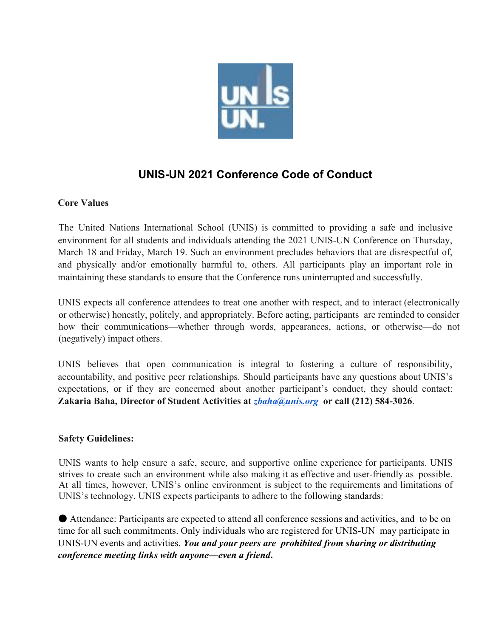

# **UNIS-UN 2021 Conference Code of Conduct**

# **Core Values**

The United Nations International School (UNIS) is committed to providing a safe and inclusive environment for all students and individuals attending the 2021 UNIS-UN Conference on Thursday, March 18 and Friday, March 19. Such an environment precludes behaviors that are disrespectful of, and physically and/or emotionally harmful to, others. All participants play an important role in maintaining these standards to ensure that the Conference runs uninterrupted and successfully.

UNIS expects all conference attendees to treat one another with respect, and to interact (electronically or otherwise) honestly, politely, and appropriately. Before acting, participants are reminded to consider how their communications—whether through words, appearances, actions, or otherwise—do not (negatively) impact others.

UNIS believes that open communication is integral to fostering a culture of responsibility, accountability, and positive peer relationships. Should participants have any questions about UNIS's expectations, or if they are concerned about another participant's conduct, they should contact: **Zakaria Baha, Director of Student Activities at** *[zbaha@unis.org](mailto:zbaha@unis.org)* **or call (212) 584-3026**.

### **Safety Guidelines:**

UNIS wants to help ensure a safe, secure, and supportive online experience for participants. UNIS strives to create such an environment while also making it as effective and user-friendly as possible. At all times, however, UNIS's online environment is subject to the requirements and limitations of UNIS's technology. UNIS expects participants to adhere to the following standards:

● Attendance: Participants are expected to attend all conference sessions and activities, and to be on time for all such commitments. Only individuals who are registered for UNIS-UN may participate in UNIS-UN events and activities. *You and your peers are prohibited from sharing or distributing conference meeting links with anyone—even a friend***.**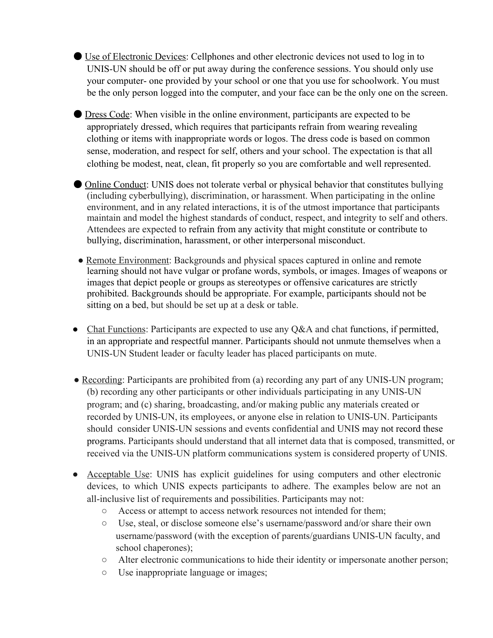- Use of Electronic Devices: Cellphones and other electronic devices not used to log in to UNIS-UN should be off or put away during the conference sessions. You should only use your computer- one provided by your school or one that you use for schoolwork. You must be the only person logged into the computer, and your face can be the only one on the screen.
- Dress Code: When visible in the online environment, participants are expected to be appropriately dressed, which requires that participants refrain from wearing revealing clothing or items with inappropriate words or logos. The dress code is based on common sense, moderation, and respect for self, others and your school. The expectation is that all clothing be modest, neat, clean, fit properly so you are comfortable and well represented.
- Online Conduct: UNIS does not tolerate verbal or physical behavior that constitutes bullying (including cyberbullying), discrimination, or harassment. When participating in the online environment, and in any related interactions, it is of the utmost importance that participants maintain and model the highest standards of conduct, respect, and integrity to self and others. Attendees are expected to refrain from any activity that might constitute or contribute to bullying, discrimination, harassment, or other interpersonal misconduct.
- Remote Environment: Backgrounds and physical spaces captured in online and remote learning should not have vulgar or profane words, symbols, or images. Images of weapons or images that depict people or groups as stereotypes or offensive caricatures are strictly prohibited. Backgrounds should be appropriate. For example, participants should not be sitting on a bed, but should be set up at a desk or table.
- Chat Functions: Participants are expected to use any Q&A and chat functions, if permitted, in an appropriate and respectful manner. Participants should not unmute themselves when a UNIS-UN Student leader or faculty leader has placed participants on mute.
- Recording: Participants are prohibited from (a) recording any part of any UNIS-UN program; (b) recording any other participants or other individuals participating in any UNIS-UN program; and (c) sharing, broadcasting, and/or making public any materials created or recorded by UNIS-UN, its employees, or anyone else in relation to UNIS-UN. Participants should consider UNIS-UN sessions and events confidential and UNIS may not record these programs. Participants should understand that all internet data that is composed, transmitted, or received via the UNIS-UN platform communications system is considered property of UNIS.
- Acceptable Use: UNIS has explicit guidelines for using computers and other electronic devices, to which UNIS expects participants to adhere. The examples below are not an all-inclusive list of requirements and possibilities. Participants may not:
	- Access or attempt to access network resources not intended for them;
	- Use, steal, or disclose someone else's username/password and/or share their own username/password (with the exception of parents/guardians UNIS-UN faculty, and school chaperones);
	- Alter electronic communications to hide their identity or impersonate another person;
	- Use inappropriate language or images;